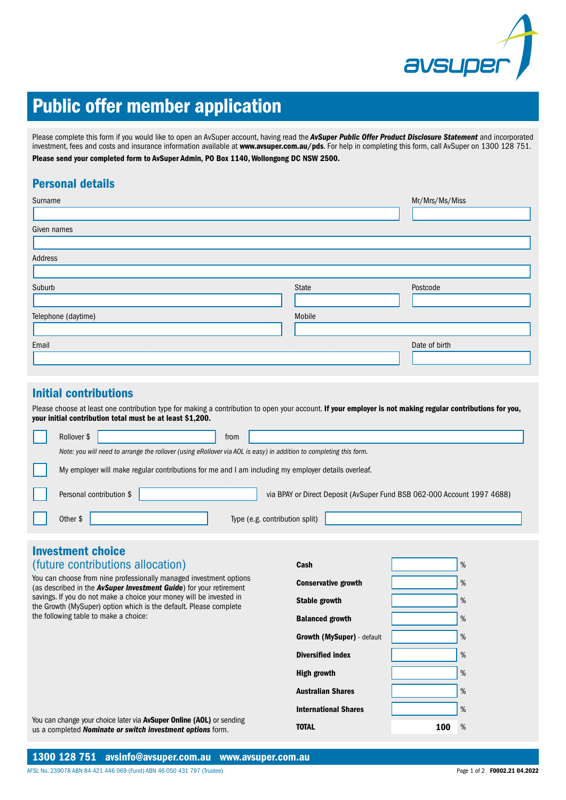

# Public offer member application

Please complete this form if you would like to open an AvSuper account, having read the *AvSuper Public Offer Product Disclosure Statement* and incorporated investment, fees and costs and insurance information available at www.avsuper.com.au/pds. For help in completing this form, call AvSuper on 1300 128 751. Please send your completed form to AvSuper Admin, PO Box 1140, Wollongong DC NSW 2500.

# Personal details

| Surname             |        | Mr/Mrs/Ms/Miss |
|---------------------|--------|----------------|
|                     |        |                |
| Given names         |        |                |
|                     |        |                |
| Address             |        |                |
|                     |        |                |
| Suburb              | State  | Postcode       |
|                     |        |                |
| Telephone (daytime) | Mobile |                |
|                     |        |                |
| Email               |        | Date of birth  |
|                     |        |                |

### Initial contributions

Please choose at least one contribution type for making a contribution to open your account. If your employer is not making regular contributions for you, your initial contribution total must be at least \$1,200.

| Rollover \$<br>from                                                                                                |
|--------------------------------------------------------------------------------------------------------------------|
| Note: you will need to arrange the rollover (using eRollover via AOL is easy) in addition to completing this form. |
| My employer will make regular contributions for me and I am including my employer details overleaf.                |
| Personal contribution \$<br>via BPAY or Direct Deposit (AvSuper Fund BSB 062-000 Account 1997 4688)                |
| Type (e.g. contribution split)<br>Other \$                                                                         |

# **Investment choice**

| <i>(future contributions allocation)</i> |  |
|------------------------------------------|--|
|                                          |  |

You can choose from nine professionally managed investment options (as described in the *AvSuper Investment Guide*) for your retirement savings. If you do not make a choice your money will be invested in the Growth (MySuper) option which is the default. Please complete the following table to make a choice:

| Cash                              |     | % |
|-----------------------------------|-----|---|
| <b>Conservative growth</b>        |     | % |
| Stable growth                     |     | % |
| <b>Balanced growth</b>            |     | % |
| <b>Growth (MySuper)</b> - default |     | % |
| <b>Diversified index</b>          |     | % |
| High growth                       |     | % |
| Australian Shares                 |     | % |
| <b>International Shares</b>       |     | % |
| TOTAL                             | 100 | % |
|                                   |     |   |

You can change your choice later via **AvSuper Online (AOL)** or sending us a completed *Nominate or switch investment options* form.